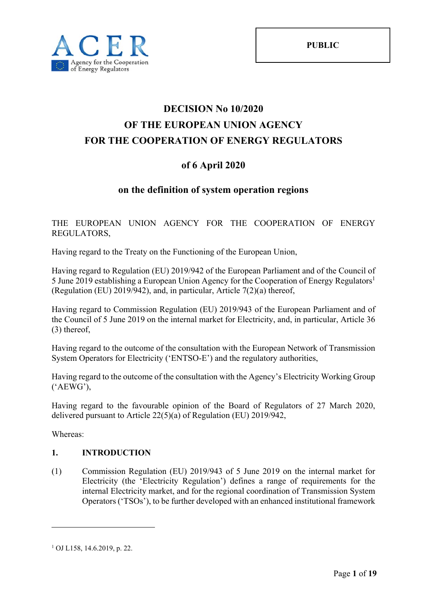

# **DECISION No 10/2020 OF THE EUROPEAN UNION AGENCY FOR THE COOPERATION OF ENERGY REGULATORS**

# **of 6 April 2020**

## **on the definition of system operation regions**

### THE EUROPEAN UNION AGENCY FOR THE COOPERATION OF ENERGY REGULATORS,

Having regard to the Treaty on the Functioning of the European Union,

Having regard to Regulation (EU) 2019/942 of the European Parliament and of the Council of 5 June 2019 establishing a European Union Agency for the Cooperation of Energy Regulators<sup>1</sup> (Regulation (EU) 2019/942), and, in particular, Article 7(2)(a) thereof,

Having regard to Commission Regulation (EU) 2019/943 of the European Parliament and of the Council of 5 June 2019 on the internal market for Electricity, and, in particular, Article 36 (3) thereof,

Having regard to the outcome of the consultation with the European Network of Transmission System Operators for Electricity ('ENTSO-E') and the regulatory authorities,

Having regard to the outcome of the consultation with the Agency's Electricity Working Group ('AEWG'),

Having regard to the favourable opinion of the Board of Regulators of 27 March 2020, delivered pursuant to Article 22(5)(a) of Regulation (EU) 2019/942,

Whereas:

<u>.</u>

### **1. INTRODUCTION**

(1) Commission Regulation (EU) 2019/943 of 5 June 2019 on the internal market for Electricity (the 'Electricity Regulation') defines a range of requirements for the internal Electricity market, and for the regional coordination of Transmission System Operators ('TSOs'), to be further developed with an enhanced institutional framework

<sup>1</sup> OJ L158, 14.6.2019, p. 22.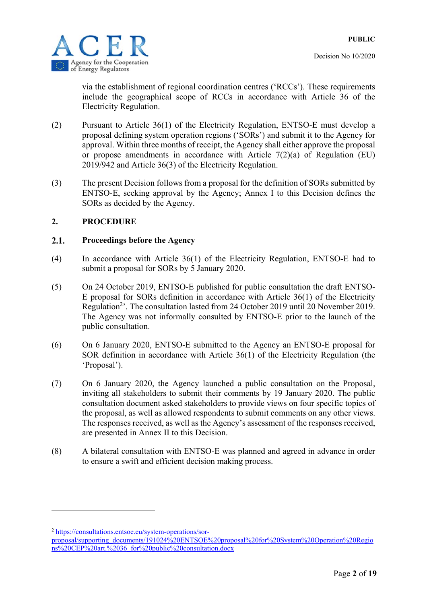

via the establishment of regional coordination centres ('RCCs'). These requirements include the geographical scope of RCCs in accordance with Article 36 of the Electricity Regulation.

- (2) Pursuant to Article 36(1) of the Electricity Regulation, ENTSO-E must develop a proposal defining system operation regions ('SORs') and submit it to the Agency for approval. Within three months of receipt, the Agency shall either approve the proposal or propose amendments in accordance with Article 7(2)(a) of Regulation (EU) 2019/942 and Article 36(3) of the Electricity Regulation.
- (3) The present Decision follows from a proposal for the definition of SORs submitted by ENTSO-E, seeking approval by the Agency; Annex I to this Decision defines the SORs as decided by the Agency.

### **2. PROCEDURE**

#### $2.1.$ **Proceedings before the Agency**

- (4) In accordance with Article 36(1) of the Electricity Regulation, ENTSO-E had to submit a proposal for SORs by 5 January 2020.
- (5) On 24 October 2019, ENTSO-E published for public consultation the draft ENTSO-E proposal for SORs definition in accordance with Article 36(1) of the Electricity Regulation<sup>2</sup>'. The consultation lasted from 24 October 2019 until 20 November 2019. The Agency was not informally consulted by ENTSO-E prior to the launch of the public consultation.
- (6) On 6 January 2020, ENTSO-E submitted to the Agency an ENTSO-E proposal for SOR definition in accordance with Article 36(1) of the Electricity Regulation (the 'Proposal').
- (7) On 6 January 2020, the Agency launched a public consultation on the Proposal, inviting all stakeholders to submit their comments by 19 January 2020. The public consultation document asked stakeholders to provide views on four specific topics of the proposal, as well as allowed respondents to submit comments on any other views. The responses received, as well as the Agency's assessment of the responses received, are presented in Annex II to this Decision.
- (8) A bilateral consultation with ENTSO-E was planned and agreed in advance in order to ensure a swift and efficient decision making process.

<sup>2</sup> https://consultations.entsoe.eu/system-operations/sor-

1

proposal/supporting\_documents/191024%20ENTSOE%20proposal%20for%20System%20Operation%20Regio ns%20CEP%20art.%2036\_for%20public%20consultation.docx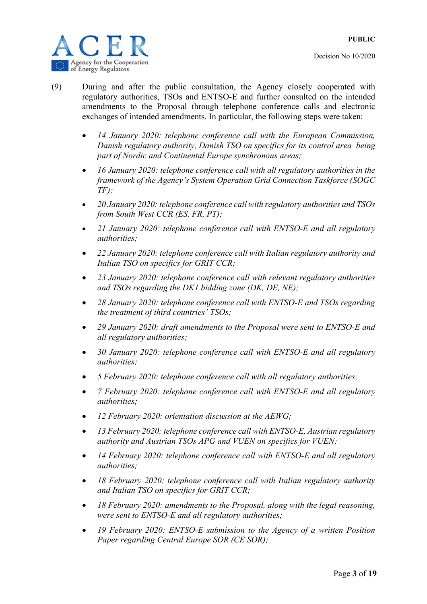



- (9) During and after the public consultation, the Agency closely cooperated with regulatory authorities, TSOs and ENTSO-E and further consulted on the intended amendments to the Proposal through telephone conference calls and electronic exchanges of intended amendments. In particular, the following steps were taken:
	- *14 January 2020: telephone conference call with the European Commission, Danish regulatory authority, Danish TSO on specifics for its control area being part of Nordic and Continental Europe synchronous areas;*
	- *16 January 2020: telephone conference call with all regulatory authorities in the framework of the Agency's System Operation Grid Connection Taskforce (SOGC TF);*
	- *20 January 2020: telephone conference call with regulatory authorities and TSOs from South West CCR (ES, FR, PT);*
	- *21 January 2020: telephone conference call with ENTSO-E and all regulatory authorities;*
	- *22 January 2020: telephone conference call with Italian regulatory authority and Italian TSO on specifics for GRIT CCR;*
	- *23 January 2020: telephone conference call with relevant regulatory authorities and TSOs regarding the DK1 bidding zone (DK, DE, NE);*
	- *28 January 2020: telephone conference call with ENTSO-E and TSOs regarding the treatment of third countries' TSOs;*
	- *29 January 2020: draft amendments to the Proposal were sent to ENTSO-E and all regulatory authorities;*
	- *30 January 2020: telephone conference call with ENTSO-E and all regulatory authorities;*
	- *5 February 2020: telephone conference call with all regulatory authorities;*
	- *7 February 2020: telephone conference call with ENTSO-E and all regulatory authorities;*
	- *12 February 2020: orientation discussion at the AEWG;*
	- *13 February 2020: telephone conference call with ENTSO-E, Austrian regulatory authority and Austrian TSOs APG and VUEN on specifics for VUEN;*
	- *14 February 2020: telephone conference call with ENTSO-E and all regulatory authorities;*
	- *18 February 2020: telephone conference call with Italian regulatory authority and Italian TSO on specifics for GRIT CCR;*
	- *18 February 2020: amendments to the Proposal, along with the legal reasoning, were sent to ENTSO-E and all regulatory authorities;*
	- *19 February 2020: ENTSO-E submission to the Agency of a written Position Paper regarding Central Europe SOR (CE SOR);*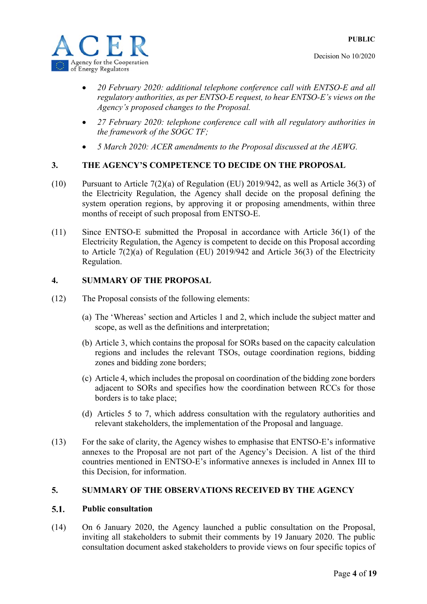

- *20 February 2020: additional telephone conference call with ENTSO-E and all regulatory authorities, as per ENTSO-E request, to hear ENTSO-E's views on the Agency's proposed changes to the Proposal.*
- *27 February 2020: telephone conference call with all regulatory authorities in the framework of the SOGC TF;*
- *5 March 2020: ACER amendments to the Proposal discussed at the AEWG.*

### **3. THE AGENCY'S COMPETENCE TO DECIDE ON THE PROPOSAL**

- (10) Pursuant to Article 7(2)(a) of Regulation (EU) 2019/942, as well as Article 36(3) of the Electricity Regulation, the Agency shall decide on the proposal defining the system operation regions, by approving it or proposing amendments, within three months of receipt of such proposal from ENTSO-E.
- (11) Since ENTSO-E submitted the Proposal in accordance with Article 36(1) of the Electricity Regulation, the Agency is competent to decide on this Proposal according to Article 7(2)(a) of Regulation (EU) 2019/942 and Article 36(3) of the Electricity Regulation.

### **4. SUMMARY OF THE PROPOSAL**

- (12) The Proposal consists of the following elements:
	- (a) The 'Whereas' section and Articles 1 and 2, which include the subject matter and scope, as well as the definitions and interpretation;
	- (b) Article 3, which contains the proposal for SORs based on the capacity calculation regions and includes the relevant TSOs, outage coordination regions, bidding zones and bidding zone borders;
	- (c) Article 4, which includes the proposal on coordination of the bidding zone borders adjacent to SORs and specifies how the coordination between RCCs for those borders is to take place;
	- (d) Articles 5 to 7, which address consultation with the regulatory authorities and relevant stakeholders, the implementation of the Proposal and language.
- (13) For the sake of clarity, the Agency wishes to emphasise that ENTSO-E's informative annexes to the Proposal are not part of the Agency's Decision. A list of the third countries mentioned in ENTSO-E's informative annexes is included in Annex III to this Decision, for information.

#### **5. SUMMARY OF THE OBSERVATIONS RECEIVED BY THE AGENCY**

#### $5.1.$ **Public consultation**

(14) On 6 January 2020, the Agency launched a public consultation on the Proposal, inviting all stakeholders to submit their comments by 19 January 2020. The public consultation document asked stakeholders to provide views on four specific topics of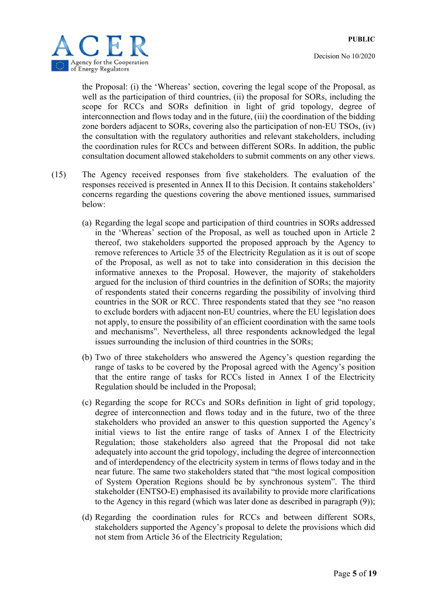

the Proposal: (i) the 'Whereas' section, covering the legal scope of the Proposal, as well as the participation of third countries, (ii) the proposal for SORs, including the scope for RCCs and SORs definition in light of grid topology, degree of interconnection and flows today and in the future, (iii) the coordination of the bidding zone borders adjacent to SORs, covering also the participation of non-EU TSOs, (iv) the consultation with the regulatory authorities and relevant stakeholders, including the coordination rules for RCCs and between different SORs. In addition, the public consultation document allowed stakeholders to submit comments on any other views.

- (15) The Agency received responses from five stakeholders. The evaluation of the responses received is presented in Annex II to this Decision. It contains stakeholders' concerns regarding the questions covering the above mentioned issues, summarised below:
	- (a) Regarding the legal scope and participation of third countries in SORs addressed in the 'Whereas' section of the Proposal, as well as touched upon in Article 2 thereof, two stakeholders supported the proposed approach by the Agency to remove references to Article 35 of the Electricity Regulation as it is out of scope of the Proposal, as well as not to take into consideration in this decision the informative annexes to the Proposal. However, the majority of stakeholders argued for the inclusion of third countries in the definition of SORs; the majority of respondents stated their concerns regarding the possibility of involving third countries in the SOR or RCC. Three respondents stated that they see "no reason to exclude borders with adjacent non-EU countries, where the EU legislation does not apply, to ensure the possibility of an efficient coordination with the same tools and mechanisms". Nevertheless, all three respondents acknowledged the legal issues surrounding the inclusion of third countries in the SORs;
	- (b) Two of three stakeholders who answered the Agency's question regarding the range of tasks to be covered by the Proposal agreed with the Agency's position that the entire range of tasks for RCCs listed in Annex I of the Electricity Regulation should be included in the Proposal;
	- (c) Regarding the scope for RCCs and SORs definition in light of grid topology, degree of interconnection and flows today and in the future, two of the three stakeholders who provided an answer to this question supported the Agency's initial views to list the entire range of tasks of Annex I of the Electricity Regulation; those stakeholders also agreed that the Proposal did not take adequately into account the grid topology, including the degree of interconnection and of interdependency of the electricity system in terms of flows today and in the near future. The same two stakeholders stated that "the most logical composition of System Operation Regions should be by synchronous system". The third stakeholder (ENTSO-E) emphasised its availability to provide more clarifications to the Agency in this regard (which was later done as described in paragraph (9));
	- (d) Regarding the coordination rules for RCCs and between different SORs, stakeholders supported the Agency's proposal to delete the provisions which did not stem from Article 36 of the Electricity Regulation;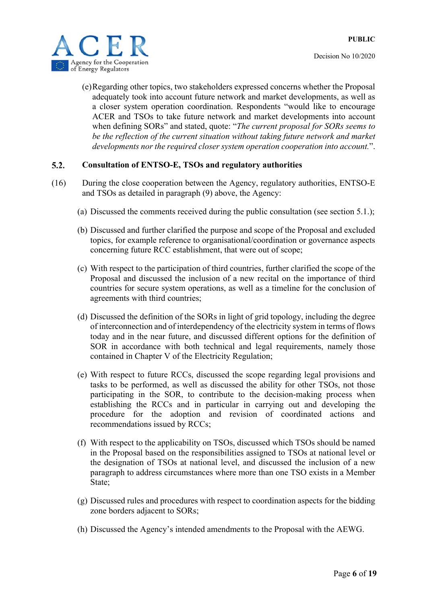

(e)Regarding other topics, two stakeholders expressed concerns whether the Proposal adequately took into account future network and market developments, as well as a closer system operation coordination. Respondents "would like to encourage ACER and TSOs to take future network and market developments into account when defining SORs" and stated, quote: "*The current proposal for SORs seems to*  be the reflection of the current situation without taking future network and market *developments nor the required closer system operation cooperation into account.*".

#### $5.2.$ **Consultation of ENTSO-E, TSOs and regulatory authorities**

- (16) During the close cooperation between the Agency, regulatory authorities, ENTSO-E and TSOs as detailed in paragraph (9) above, the Agency:
	- (a) Discussed the comments received during the public consultation (see section 5.1.);
	- (b) Discussed and further clarified the purpose and scope of the Proposal and excluded topics, for example reference to organisational/coordination or governance aspects concerning future RCC establishment, that were out of scope;
	- (c) With respect to the participation of third countries, further clarified the scope of the Proposal and discussed the inclusion of a new recital on the importance of third countries for secure system operations, as well as a timeline for the conclusion of agreements with third countries;
	- (d) Discussed the definition of the SORs in light of grid topology, including the degree of interconnection and of interdependency of the electricity system in terms of flows today and in the near future, and discussed different options for the definition of SOR in accordance with both technical and legal requirements, namely those contained in Chapter V of the Electricity Regulation;
	- (e) With respect to future RCCs, discussed the scope regarding legal provisions and tasks to be performed, as well as discussed the ability for other TSOs, not those participating in the SOR, to contribute to the decision-making process when establishing the RCCs and in particular in carrying out and developing the procedure for the adoption and revision of coordinated actions and recommendations issued by RCCs;
	- (f) With respect to the applicability on TSOs, discussed which TSOs should be named in the Proposal based on the responsibilities assigned to TSOs at national level or the designation of TSOs at national level, and discussed the inclusion of a new paragraph to address circumstances where more than one TSO exists in a Member State;
	- (g) Discussed rules and procedures with respect to coordination aspects for the bidding zone borders adjacent to SORs;
	- (h) Discussed the Agency's intended amendments to the Proposal with the AEWG.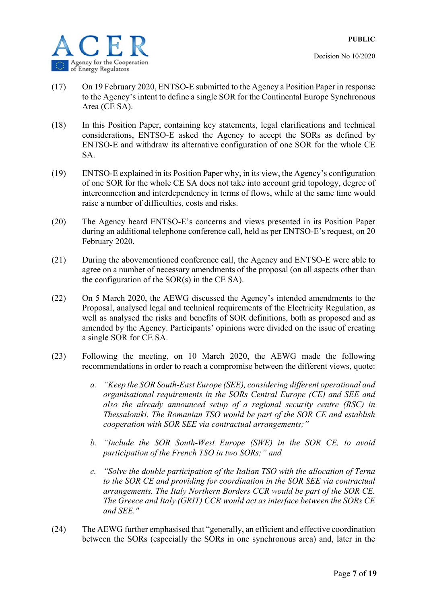

- (17) On 19 February 2020, ENTSO-E submitted to the Agency a Position Paper in response to the Agency's intent to define a single SOR for the Continental Europe Synchronous Area (CE SA).
- (18) In this Position Paper, containing key statements, legal clarifications and technical considerations, ENTSO-E asked the Agency to accept the SORs as defined by ENTSO-E and withdraw its alternative configuration of one SOR for the whole CE SA.
- (19) ENTSO-E explained in its Position Paper why, in its view, the Agency's configuration of one SOR for the whole CE SA does not take into account grid topology, degree of interconnection and interdependency in terms of flows, while at the same time would raise a number of difficulties, costs and risks.
- (20) The Agency heard ENTSO-E's concerns and views presented in its Position Paper during an additional telephone conference call, held as per ENTSO-E's request, on 20 February 2020.
- (21) During the abovementioned conference call, the Agency and ENTSO-E were able to agree on a number of necessary amendments of the proposal (on all aspects other than the configuration of the  $SOR(s)$  in the CE SA).
- (22) On 5 March 2020, the AEWG discussed the Agency's intended amendments to the Proposal, analysed legal and technical requirements of the Electricity Regulation, as well as analysed the risks and benefits of SOR definitions, both as proposed and as amended by the Agency. Participants' opinions were divided on the issue of creating a single SOR for CE SA.
- (23) Following the meeting, on 10 March 2020, the AEWG made the following recommendations in order to reach a compromise between the different views, quote:
	- *a. "Keep the SOR South-East Europe (SEE), considering different operational and organisational requirements in the SORs Central Europe (CE) and SEE and also the already announced setup of a regional security centre (RSC) in Thessaloniki. The Romanian TSO would be part of the SOR CE and establish cooperation with SOR SEE via contractual arrangements;"*
	- *b. "Include the SOR South-West Europe (SWE) in the SOR CE, to avoid participation of the French TSO in two SORs;" and*
	- *c. "Solve the double participation of the Italian TSO with the allocation of Terna to the SOR CE and providing for coordination in the SOR SEE via contractual arrangements. The Italy Northern Borders CCR would be part of the SOR CE. The Greece and Italy (GRIT) CCR would act as interface between the SORs CE and SEE."*
- (24) The AEWG further emphasised that "generally, an efficient and effective coordination between the SORs (especially the SORs in one synchronous area) and, later in the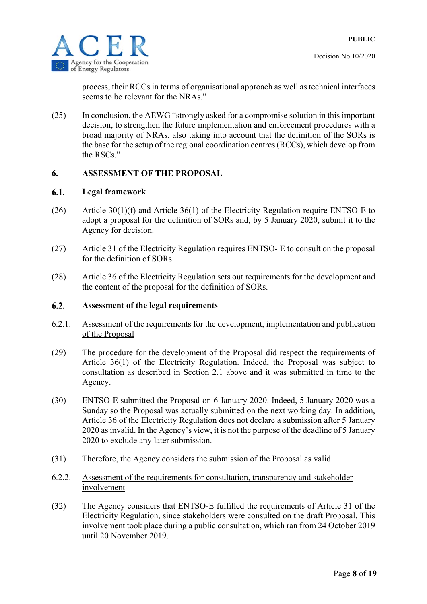

process, their RCCs in terms of organisational approach as well as technical interfaces seems to be relevant for the NRAs."

(25) In conclusion, the AEWG "strongly asked for a compromise solution in this important decision, to strengthen the future implementation and enforcement procedures with a broad majority of NRAs, also taking into account that the definition of the SORs is the base for the setup of the regional coordination centres (RCCs), which develop from the RSCs."

### **6. ASSESSMENT OF THE PROPOSAL**

#### 6.1. **Legal framework**

- (26) Article 30(1)(f) and Article 36(1) of the Electricity Regulation require ENTSO-E to adopt a proposal for the definition of SORs and, by 5 January 2020, submit it to the Agency for decision.
- (27) Article 31 of the Electricity Regulation requires ENTSO- E to consult on the proposal for the definition of SORs.
- (28) Article 36 of the Electricity Regulation sets out requirements for the development and the content of the proposal for the definition of SORs.

#### $6.2.$ **Assessment of the legal requirements**

- 6.2.1. Assessment of the requirements for the development, implementation and publication of the Proposal
- (29) The procedure for the development of the Proposal did respect the requirements of Article 36(1) of the Electricity Regulation. Indeed, the Proposal was subject to consultation as described in Section 2.1 above and it was submitted in time to the Agency.
- (30) ENTSO-E submitted the Proposal on 6 January 2020. Indeed, 5 January 2020 was a Sunday so the Proposal was actually submitted on the next working day. In addition, Article 36 of the Electricity Regulation does not declare a submission after 5 January 2020 as invalid. In the Agency's view, it is not the purpose of the deadline of 5 January 2020 to exclude any later submission.
- (31) Therefore, the Agency considers the submission of the Proposal as valid.
- 6.2.2. Assessment of the requirements for consultation, transparency and stakeholder involvement
- (32) The Agency considers that ENTSO-E fulfilled the requirements of Article 31 of the Electricity Regulation, since stakeholders were consulted on the draft Proposal. This involvement took place during a public consultation, which ran from 24 October 2019 until 20 November 2019.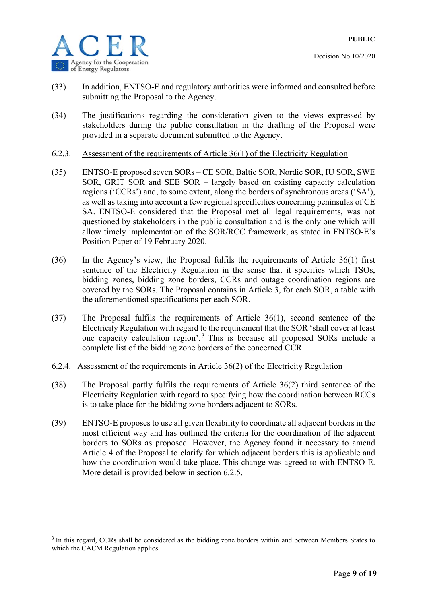

1

- (33) In addition, ENTSO-E and regulatory authorities were informed and consulted before submitting the Proposal to the Agency.
- (34) The justifications regarding the consideration given to the views expressed by stakeholders during the public consultation in the drafting of the Proposal were provided in a separate document submitted to the Agency.
- 6.2.3. Assessment of the requirements of Article 36(1) of the Electricity Regulation
- (35) ENTSO-E proposed seven SORs CE SOR, Baltic SOR, Nordic SOR, IU SOR, SWE SOR, GRIT SOR and SEE SOR – largely based on existing capacity calculation regions ('CCRs') and, to some extent, along the borders of synchronous areas ('SA'), as well as taking into account a few regional specificities concerning peninsulas of CE SA. ENTSO-E considered that the Proposal met all legal requirements, was not questioned by stakeholders in the public consultation and is the only one which will allow timely implementation of the SOR/RCC framework, as stated in ENTSO-E's Position Paper of 19 February 2020.
- (36) In the Agency's view, the Proposal fulfils the requirements of Article 36(1) first sentence of the Electricity Regulation in the sense that it specifies which TSOs, bidding zones, bidding zone borders, CCRs and outage coordination regions are covered by the SORs. The Proposal contains in Article 3, for each SOR, a table with the aforementioned specifications per each SOR.
- (37) The Proposal fulfils the requirements of Article 36(1), second sentence of the Electricity Regulation with regard to the requirement that the SOR 'shall cover at least one capacity calculation region'. 3 This is because all proposed SORs include a complete list of the bidding zone borders of the concerned CCR.
- 6.2.4. Assessment of the requirements in Article 36(2) of the Electricity Regulation
- (38) The Proposal partly fulfils the requirements of Article 36(2) third sentence of the Electricity Regulation with regard to specifying how the coordination between RCCs is to take place for the bidding zone borders adjacent to SORs.
- (39) ENTSO-E proposes to use all given flexibility to coordinate all adjacent borders in the most efficient way and has outlined the criteria for the coordination of the adjacent borders to SORs as proposed. However, the Agency found it necessary to amend Article 4 of the Proposal to clarify for which adjacent borders this is applicable and how the coordination would take place. This change was agreed to with ENTSO-E. More detail is provided below in section 6.2.5.

<sup>&</sup>lt;sup>3</sup> In this regard, CCRs shall be considered as the bidding zone borders within and between Members States to which the CACM Regulation applies.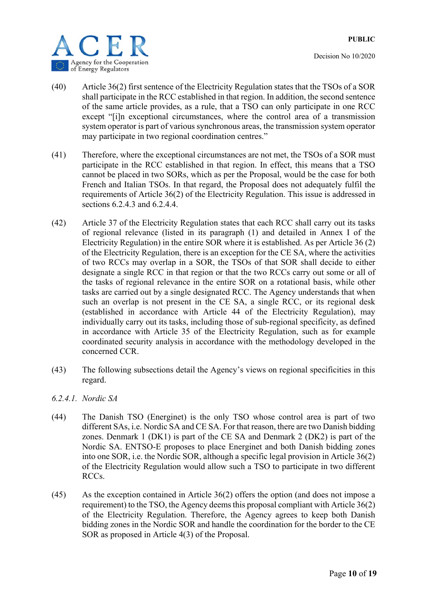

- (40) Article 36(2) first sentence of the Electricity Regulation states that the TSOs of a SOR shall participate in the RCC established in that region. In addition, the second sentence of the same article provides, as a rule, that a TSO can only participate in one RCC except "[i]n exceptional circumstances, where the control area of a transmission system operator is part of various synchronous areas, the transmission system operator may participate in two regional coordination centres."
- (41) Therefore, where the exceptional circumstances are not met, the TSOs of a SOR must participate in the RCC established in that region. In effect, this means that a TSO cannot be placed in two SORs, which as per the Proposal, would be the case for both French and Italian TSOs. In that regard, the Proposal does not adequately fulfil the requirements of Article 36(2) of the Electricity Regulation. This issue is addressed in sections 6.2.4.3 and 6.2.4.4.
- (42) Article 37 of the Electricity Regulation states that each RCC shall carry out its tasks of regional relevance (listed in its paragraph (1) and detailed in Annex I of the Electricity Regulation) in the entire SOR where it is established. As per Article 36 (2) of the Electricity Regulation, there is an exception for the CE SA, where the activities of two RCCs may overlap in a SOR, the TSOs of that SOR shall decide to either designate a single RCC in that region or that the two RCCs carry out some or all of the tasks of regional relevance in the entire SOR on a rotational basis, while other tasks are carried out by a single designated RCC. The Agency understands that when such an overlap is not present in the CE SA, a single RCC, or its regional desk (established in accordance with Article 44 of the Electricity Regulation), may individually carry out its tasks, including those of sub-regional specificity, as defined in accordance with Article 35 of the Electricity Regulation, such as for example coordinated security analysis in accordance with the methodology developed in the concerned CCR.
- (43) The following subsections detail the Agency's views on regional specificities in this regard.
- *6.2.4.1. Nordic SA*
- (44) The Danish TSO (Energinet) is the only TSO whose control area is part of two different SAs, i.e. Nordic SA and CE SA. For that reason, there are two Danish bidding zones. Denmark 1 (DK1) is part of the CE SA and Denmark 2 (DK2) is part of the Nordic SA. ENTSO-E proposes to place Energinet and both Danish bidding zones into one SOR, i.e. the Nordic SOR, although a specific legal provision in Article 36(2) of the Electricity Regulation would allow such a TSO to participate in two different RCCs.
- (45) As the exception contained in Article 36(2) offers the option (and does not impose a requirement) to the TSO, the Agency deems this proposal compliant with Article 36(2) of the Electricity Regulation. Therefore, the Agency agrees to keep both Danish bidding zones in the Nordic SOR and handle the coordination for the border to the CE SOR as proposed in Article 4(3) of the Proposal.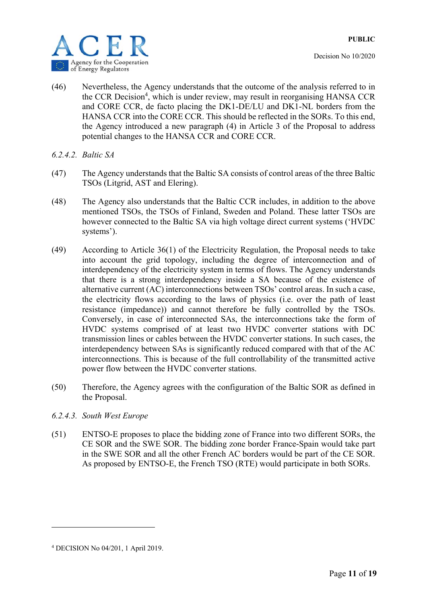

- Decision No 10/2020
- (46) Nevertheless, the Agency understands that the outcome of the analysis referred to in the CCR Decision<sup>4</sup>, which is under review, may result in reorganising HANSA CCR and CORE CCR, de facto placing the DK1-DE/LU and DK1-NL borders from the HANSA CCR into the CORE CCR. This should be reflected in the SORs. To this end, the Agency introduced a new paragraph (4) in Article 3 of the Proposal to address potential changes to the HANSA CCR and CORE CCR.
- *6.2.4.2. Baltic SA*
- (47) The Agency understands that the Baltic SA consists of control areas of the three Baltic TSOs (Litgrid, AST and Elering).
- (48) The Agency also understands that the Baltic CCR includes, in addition to the above mentioned TSOs, the TSOs of Finland, Sweden and Poland. These latter TSOs are however connected to the Baltic SA via high voltage direct current systems ('HVDC systems').
- (49) According to Article 36(1) of the Electricity Regulation, the Proposal needs to take into account the grid topology, including the degree of interconnection and of interdependency of the electricity system in terms of flows. The Agency understands that there is a strong interdependency inside a SA because of the existence of alternative current (AC) interconnections between TSOs' control areas. In such a case, the electricity flows according to the laws of physics (i.e. over the path of least resistance (impedance)) and cannot therefore be fully controlled by the TSOs. Conversely, in case of interconnected SAs, the interconnections take the form of HVDC systems comprised of at least two HVDC converter stations with DC transmission lines or cables between the HVDC converter stations. In such cases, the interdependency between SAs is significantly reduced compared with that of the AC interconnections. This is because of the full controllability of the transmitted active power flow between the HVDC converter stations.
- (50) Therefore, the Agency agrees with the configuration of the Baltic SOR as defined in the Proposal.
- *6.2.4.3. South West Europe*
- (51) ENTSO-E proposes to place the bidding zone of France into two different SORs, the CE SOR and the SWE SOR. The bidding zone border France-Spain would take part in the SWE SOR and all the other French AC borders would be part of the CE SOR. As proposed by ENTSO-E, the French TSO (RTE) would participate in both SORs.

<u>.</u>

<sup>4</sup> DECISION No 04/201, 1 April 2019.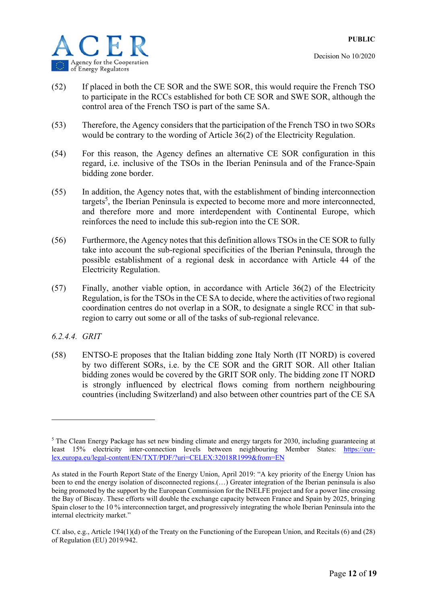



- (52) If placed in both the CE SOR and the SWE SOR, this would require the French TSO to participate in the RCCs established for both CE SOR and SWE SOR, although the control area of the French TSO is part of the same SA.
- (53) Therefore, the Agency considers that the participation of the French TSO in two SORs would be contrary to the wording of Article 36(2) of the Electricity Regulation.
- (54) For this reason, the Agency defines an alternative CE SOR configuration in this regard, i.e. inclusive of the TSOs in the Iberian Peninsula and of the France-Spain bidding zone border.
- (55) In addition, the Agency notes that, with the establishment of binding interconnection targets<sup>5</sup>, the Iberian Peninsula is expected to become more and more interconnected, and therefore more and more interdependent with Continental Europe, which reinforces the need to include this sub-region into the CE SOR.
- (56) Furthermore, the Agency notes that this definition allows TSOs in the CE SOR to fully take into account the sub-regional specificities of the Iberian Peninsula, through the possible establishment of a regional desk in accordance with Article 44 of the Electricity Regulation.
- (57) Finally, another viable option, in accordance with Article 36(2) of the Electricity Regulation, is for the TSOs in the CE SA to decide, where the activities of two regional coordination centres do not overlap in a SOR, to designate a single RCC in that subregion to carry out some or all of the tasks of sub-regional relevance.
- *6.2.4.4. GRIT*

<u>.</u>

(58) ENTSO-E proposes that the Italian bidding zone Italy North (IT NORD) is covered by two different SORs, i.e. by the CE SOR and the GRIT SOR. All other Italian bidding zones would be covered by the GRIT SOR only. The bidding zone IT NORD is strongly influenced by electrical flows coming from northern neighbouring countries (including Switzerland) and also between other countries part of the CE SA

<sup>&</sup>lt;sup>5</sup> The Clean Energy Package has set new binding climate and energy targets for 2030, including guaranteeing at least 15% electricity inter-connection levels between neighbouring Member States: https://eurlex.europa.eu/legal-content/EN/TXT/PDF/?uri=CELEX:32018R1999&from=EN

As stated in the Fourth Report State of the Energy Union, April 2019: "A key priority of the Energy Union has been to end the energy isolation of disconnected regions.(...) Greater integration of the Iberian peninsula is also being promoted by the support by the European Commission for the INELFE project and for a power line crossing the Bay of Biscay. These efforts will double the exchange capacity between France and Spain by 2025, bringing Spain closer to the 10 % interconnection target, and progressively integrating the whole Iberian Peninsula into the internal electricity market."

Cf. also, e.g., Article 194(1)(d) of the Treaty on the Functioning of the European Union, and Recitals (6) and (28) of Regulation (EU) 2019/942.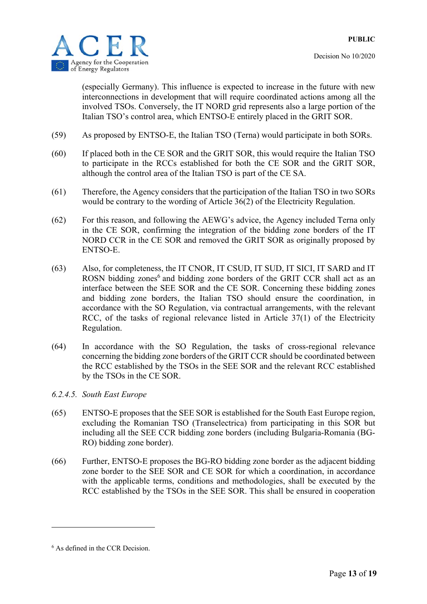

(especially Germany). This influence is expected to increase in the future with new interconnections in development that will require coordinated actions among all the involved TSOs. Conversely, the IT NORD grid represents also a large portion of the Italian TSO's control area, which ENTSO-E entirely placed in the GRIT SOR.

- (59) As proposed by ENTSO-E, the Italian TSO (Terna) would participate in both SORs.
- (60) If placed both in the CE SOR and the GRIT SOR, this would require the Italian TSO to participate in the RCCs established for both the CE SOR and the GRIT SOR, although the control area of the Italian TSO is part of the CE SA.
- (61) Therefore, the Agency considers that the participation of the Italian TSO in two SORs would be contrary to the wording of Article 36(2) of the Electricity Regulation.
- (62) For this reason, and following the AEWG's advice, the Agency included Terna only in the CE SOR, confirming the integration of the bidding zone borders of the IT NORD CCR in the CE SOR and removed the GRIT SOR as originally proposed by ENTSO-E.
- (63) Also, for completeness, the IT CNOR, IT CSUD, IT SUD, IT SICI, IT SARD and IT ROSN bidding zones<sup>6</sup> and bidding zone borders of the GRIT CCR shall act as an interface between the SEE SOR and the CE SOR. Concerning these bidding zones and bidding zone borders, the Italian TSO should ensure the coordination, in accordance with the SO Regulation, via contractual arrangements, with the relevant RCC, of the tasks of regional relevance listed in Article 37(1) of the Electricity Regulation.
- (64) In accordance with the SO Regulation, the tasks of cross-regional relevance concerning the bidding zone borders of the GRIT CCR should be coordinated between the RCC established by the TSOs in the SEE SOR and the relevant RCC established by the TSOs in the CE SOR.
- *6.2.4.5. South East Europe*
- (65) ENTSO-E proposes that the SEE SOR is established for the South East Europe region, excluding the Romanian TSO (Transelectrica) from participating in this SOR but including all the SEE CCR bidding zone borders (including Bulgaria-Romania (BG-RO) bidding zone border).
- (66) Further, ENTSO-E proposes the BG-RO bidding zone border as the adjacent bidding zone border to the SEE SOR and CE SOR for which a coordination, in accordance with the applicable terms, conditions and methodologies, shall be executed by the RCC established by the TSOs in the SEE SOR. This shall be ensured in cooperation

<u>.</u>

<sup>6</sup> As defined in the CCR Decision.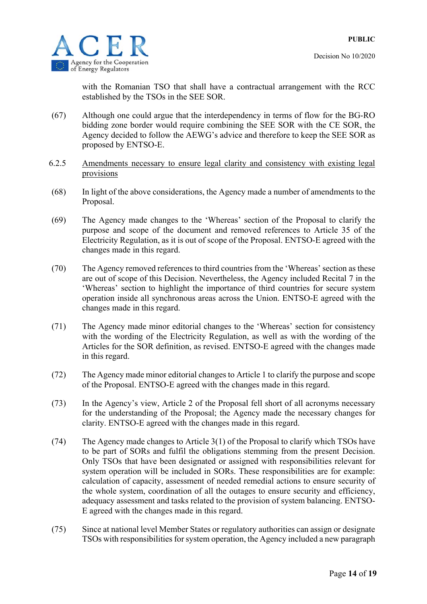

with the Romanian TSO that shall have a contractual arrangement with the RCC established by the TSOs in the SEE SOR.

- (67) Although one could argue that the interdependency in terms of flow for the BG-RO bidding zone border would require combining the SEE SOR with the CE SOR, the Agency decided to follow the AEWG's advice and therefore to keep the SEE SOR as proposed by ENTSO-E.
- 6.2.5 Amendments necessary to ensure legal clarity and consistency with existing legal provisions
- (68) In light of the above considerations, the Agency made a number of amendments to the Proposal.
- (69) The Agency made changes to the 'Whereas' section of the Proposal to clarify the purpose and scope of the document and removed references to Article 35 of the Electricity Regulation, as it is out of scope of the Proposal. ENTSO-E agreed with the changes made in this regard.
- (70) The Agency removed references to third countries from the 'Whereas' section as these are out of scope of this Decision. Nevertheless, the Agency included Recital 7 in the 'Whereas' section to highlight the importance of third countries for secure system operation inside all synchronous areas across the Union. ENTSO-E agreed with the changes made in this regard.
- (71) The Agency made minor editorial changes to the 'Whereas' section for consistency with the wording of the Electricity Regulation, as well as with the wording of the Articles for the SOR definition, as revised. ENTSO-E agreed with the changes made in this regard.
- (72) The Agency made minor editorial changes to Article 1 to clarify the purpose and scope of the Proposal. ENTSO-E agreed with the changes made in this regard.
- (73) In the Agency's view, Article 2 of the Proposal fell short of all acronyms necessary for the understanding of the Proposal; the Agency made the necessary changes for clarity. ENTSO-E agreed with the changes made in this regard.
- (74) The Agency made changes to Article 3(1) of the Proposal to clarify which TSOs have to be part of SORs and fulfil the obligations stemming from the present Decision. Only TSOs that have been designated or assigned with responsibilities relevant for system operation will be included in SORs. These responsibilities are for example: calculation of capacity, assessment of needed remedial actions to ensure security of the whole system, coordination of all the outages to ensure security and efficiency, adequacy assessment and tasks related to the provision of system balancing. ENTSO-E agreed with the changes made in this regard.
- (75) Since at national level Member States or regulatory authorities can assign or designate TSOs with responsibilities for system operation, the Agency included a new paragraph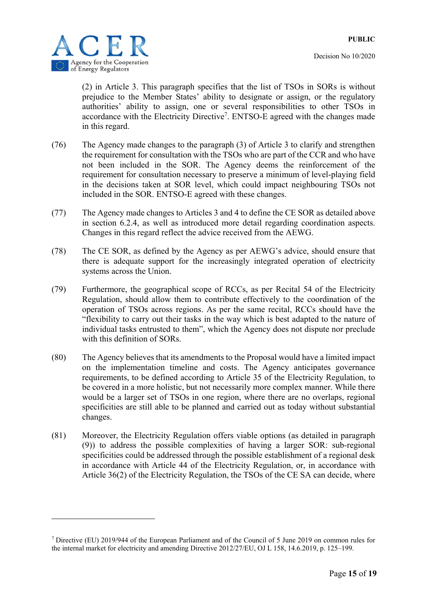

1

Decision No 10/2020

(2) in Article 3. This paragraph specifies that the list of TSOs in SORs is without prejudice to the Member States' ability to designate or assign, or the regulatory authorities' ability to assign, one or several responsibilities to other TSOs in accordance with the Electricity Directive<sup>7</sup>. ENTSO-E agreed with the changes made in this regard.

- (76) The Agency made changes to the paragraph (3) of Article 3 to clarify and strengthen the requirement for consultation with the TSOs who are part of the CCR and who have not been included in the SOR. The Agency deems the reinforcement of the requirement for consultation necessary to preserve a minimum of level-playing field in the decisions taken at SOR level, which could impact neighbouring TSOs not included in the SOR. ENTSO-E agreed with these changes.
- (77) The Agency made changes to Articles 3 and 4 to define the CE SOR as detailed above in section 6.2.4, as well as introduced more detail regarding coordination aspects. Changes in this regard reflect the advice received from the AEWG.
- (78) The CE SOR, as defined by the Agency as per AEWG's advice, should ensure that there is adequate support for the increasingly integrated operation of electricity systems across the Union.
- (79) Furthermore, the geographical scope of RCCs, as per Recital 54 of the Electricity Regulation, should allow them to contribute effectively to the coordination of the operation of TSOs across regions. As per the same recital, RCCs should have the "flexibility to carry out their tasks in the way which is best adapted to the nature of individual tasks entrusted to them", which the Agency does not dispute nor preclude with this definition of SORs.
- (80) The Agency believes that its amendments to the Proposal would have a limited impact on the implementation timeline and costs. The Agency anticipates governance requirements, to be defined according to Article 35 of the Electricity Regulation, to be covered in a more holistic, but not necessarily more complex manner. While there would be a larger set of TSOs in one region, where there are no overlaps, regional specificities are still able to be planned and carried out as today without substantial changes.
- (81) Moreover, the Electricity Regulation offers viable options (as detailed in paragraph (9)) to address the possible complexities of having a larger SOR: sub-regional specificities could be addressed through the possible establishment of a regional desk in accordance with Article 44 of the Electricity Regulation, or, in accordance with Article 36(2) of the Electricity Regulation, the TSOs of the CE SA can decide, where

<sup>7</sup> Directive (EU) 2019/944 of the European Parliament and of the Council of 5 June 2019 on common rules for the internal market for electricity and amending Directive 2012/27/EU, OJ L 158, 14.6.2019, p. 125–199.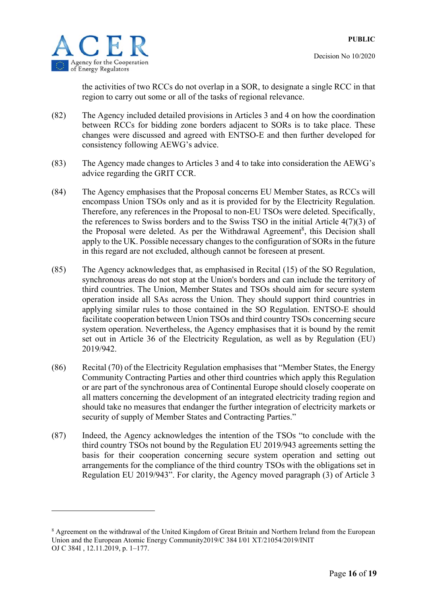

1

the activities of two RCCs do not overlap in a SOR, to designate a single RCC in that region to carry out some or all of the tasks of regional relevance.

- (82) The Agency included detailed provisions in Articles 3 and 4 on how the coordination between RCCs for bidding zone borders adjacent to SORs is to take place. These changes were discussed and agreed with ENTSO-E and then further developed for consistency following AEWG's advice.
- (83) The Agency made changes to Articles 3 and 4 to take into consideration the AEWG's advice regarding the GRIT CCR.
- (84) The Agency emphasises that the Proposal concerns EU Member States, as RCCs will encompass Union TSOs only and as it is provided for by the Electricity Regulation. Therefore, any references in the Proposal to non-EU TSOs were deleted. Specifically, the references to Swiss borders and to the Swiss TSO in the initial Article 4(7)(3) of the Proposal were deleted. As per the Withdrawal Agreement<sup>8</sup>, this Decision shall apply to the UK. Possible necessary changes to the configuration of SORs in the future in this regard are not excluded, although cannot be foreseen at present.
- (85) The Agency acknowledges that, as emphasised in Recital (15) of the SO Regulation, synchronous areas do not stop at the Union's borders and can include the territory of third countries. The Union, Member States and TSOs should aim for secure system operation inside all SAs across the Union. They should support third countries in applying similar rules to those contained in the SO Regulation. ENTSO-E should facilitate cooperation between Union TSOs and third country TSOs concerning secure system operation. Nevertheless, the Agency emphasises that it is bound by the remit set out in Article 36 of the Electricity Regulation, as well as by Regulation (EU) 2019/942.
- (86) Recital (70) of the Electricity Regulation emphasises that "Member States, the Energy Community Contracting Parties and other third countries which apply this Regulation or are part of the synchronous area of Continental Europe should closely cooperate on all matters concerning the development of an integrated electricity trading region and should take no measures that endanger the further integration of electricity markets or security of supply of Member States and Contracting Parties."
- (87) Indeed, the Agency acknowledges the intention of the TSOs "to conclude with the third country TSOs not bound by the Regulation EU 2019/943 agreements setting the basis for their cooperation concerning secure system operation and setting out arrangements for the compliance of the third country TSOs with the obligations set in Regulation EU 2019/943". For clarity, the Agency moved paragraph (3) of Article 3

<sup>&</sup>lt;sup>8</sup> Agreement on the withdrawal of the United Kingdom of Great Britain and Northern Ireland from the European Union and the European Atomic Energy Community2019/C 384 I/01 XT/21054/2019/INIT OJ C 384I , 12.11.2019, p. 1–177.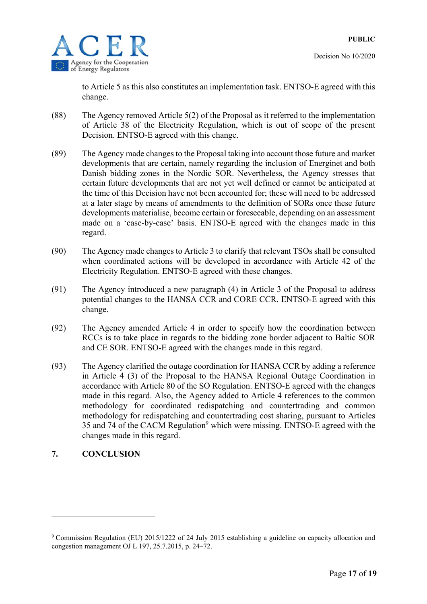to Article 5 as this also constitutes an implementation task. ENTSO-E agreed with this change.

- (88) The Agency removed Article 5(2) of the Proposal as it referred to the implementation of Article 38 of the Electricity Regulation, which is out of scope of the present Decision. ENTSO-E agreed with this change.
- (89) The Agency made changes to the Proposal taking into account those future and market developments that are certain, namely regarding the inclusion of Energinet and both Danish bidding zones in the Nordic SOR. Nevertheless, the Agency stresses that certain future developments that are not yet well defined or cannot be anticipated at the time of this Decision have not been accounted for; these will need to be addressed at a later stage by means of amendments to the definition of SORs once these future developments materialise, become certain or foreseeable, depending on an assessment made on a 'case-by-case' basis. ENTSO-E agreed with the changes made in this regard.
- (90) The Agency made changes to Article 3 to clarify that relevant TSOs shall be consulted when coordinated actions will be developed in accordance with Article 42 of the Electricity Regulation. ENTSO-E agreed with these changes.
- (91) The Agency introduced a new paragraph (4) in Article 3 of the Proposal to address potential changes to the HANSA CCR and CORE CCR. ENTSO-E agreed with this change.
- (92) The Agency amended Article 4 in order to specify how the coordination between RCCs is to take place in regards to the bidding zone border adjacent to Baltic SOR and CE SOR. ENTSO-E agreed with the changes made in this regard.
- (93) The Agency clarified the outage coordination for HANSA CCR by adding a reference in Article 4 (3) of the Proposal to the HANSA Regional Outage Coordination in accordance with Article 80 of the SO Regulation. ENTSO-E agreed with the changes made in this regard. Also, the Agency added to Article 4 references to the common methodology for coordinated redispatching and countertrading and common methodology for redispatching and countertrading cost sharing, pursuant to Articles 35 and 74 of the CACM Regulation<sup>9</sup> which were missing. ENTSO-E agreed with the changes made in this regard.

### **7. CONCLUSION**

1

<sup>&</sup>lt;sup>9</sup> Commission Regulation (EU) 2015/1222 of 24 July 2015 establishing a guideline on capacity allocation and congestion management OJ L 197, 25.7.2015, p. 24–72.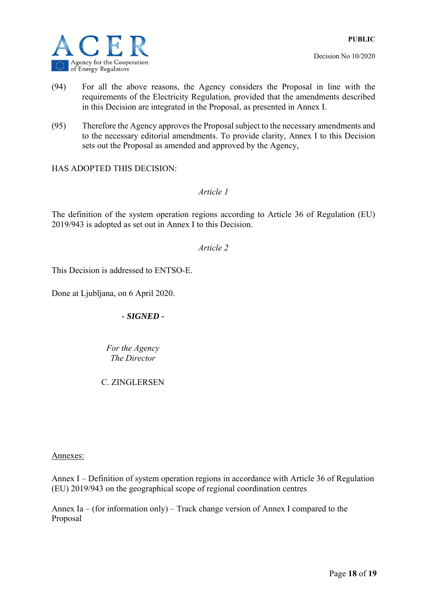

- (94) For all the above reasons, the Agency considers the Proposal in line with the requirements of the Electricity Regulation, provided that the amendments described in this Decision are integrated in the Proposal, as presented in Annex I.
- (95) Therefore the Agency approves the Proposal subject to the necessary amendments and to the necessary editorial amendments. To provide clarity, Annex I to this Decision sets out the Proposal as amended and approved by the Agency,

HAS ADOPTED THIS DECISION:

*Article 1* 

The definition of the system operation regions according to Article 36 of Regulation (EU) 2019/943 is adopted as set out in Annex I to this Decision.

*Article 2* 

This Decision is addressed to ENTSO-E.

Done at Ljubljana, on 6 April 2020.

*- SIGNED -* 

*Fоr the Agency The Director* 

C. ZINGLERSEN

Annexes:

Annex I – Definition of system operation regions in accordance with Article 36 of Regulation (EU) 2019/943 on the geographical scope of regional coordination centres

Annex Ia – (for information only) – Track change version of Annex I compared to the Proposal